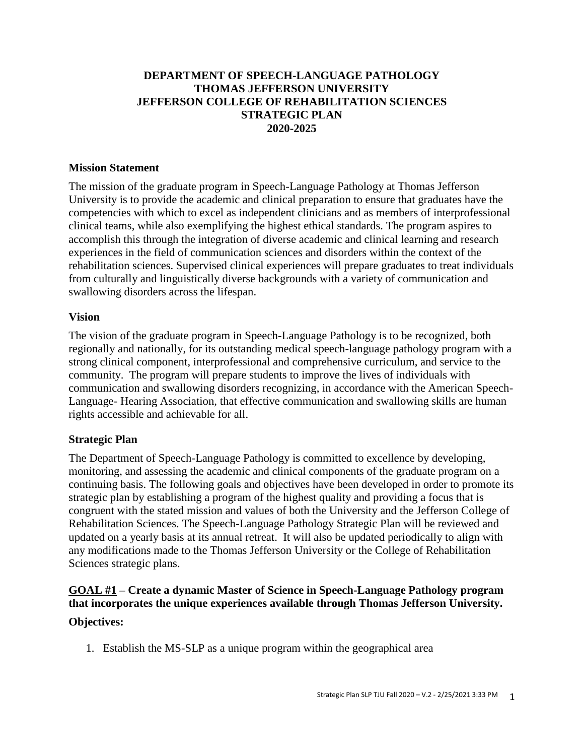#### **DEPARTMENT OF SPEECH-LANGUAGE PATHOLOGY THOMAS JEFFERSON UNIVERSITY JEFFERSON COLLEGE OF REHABILITATION SCIENCES STRATEGIC PLAN 2020-2025**

#### **Mission Statement**

The mission of the graduate program in Speech-Language Pathology at Thomas Jefferson University is to provide the academic and clinical preparation to ensure that graduates have the competencies with which to excel as independent clinicians and as members of interprofessional clinical teams, while also exemplifying the highest ethical standards. The program aspires to accomplish this through the integration of diverse academic and clinical learning and research experiences in the field of communication sciences and disorders within the context of the rehabilitation sciences. Supervised clinical experiences will prepare graduates to treat individuals from culturally and linguistically diverse backgrounds with a variety of communication and swallowing disorders across the lifespan.

#### **Vision**

The vision of the graduate program in Speech-Language Pathology is to be recognized, both regionally and nationally, for its outstanding medical speech-language pathology program with a strong clinical component, interprofessional and comprehensive curriculum, and service to the community. The program will prepare students to improve the lives of individuals with communication and swallowing disorders recognizing, in accordance with the American Speech-Language- Hearing Association, that effective communication and swallowing skills are human rights accessible and achievable for all.

## **Strategic Plan**

The Department of Speech-Language Pathology is committed to excellence by developing, monitoring, and assessing the academic and clinical components of the graduate program on a continuing basis. The following goals and objectives have been developed in order to promote its strategic plan by establishing a program of the highest quality and providing a focus that is congruent with the stated mission and values of both the University and the Jefferson College of Rehabilitation Sciences. The Speech-Language Pathology Strategic Plan will be reviewed and updated on a yearly basis at its annual retreat. It will also be updated periodically to align with any modifications made to the Thomas Jefferson University or the College of Rehabilitation Sciences strategic plans.

# **GOAL #1 – Create a dynamic Master of Science in Speech-Language Pathology program that incorporates the unique experiences available through Thomas Jefferson University.**

## **Objectives:**

1. Establish the MS-SLP as a unique program within the geographical area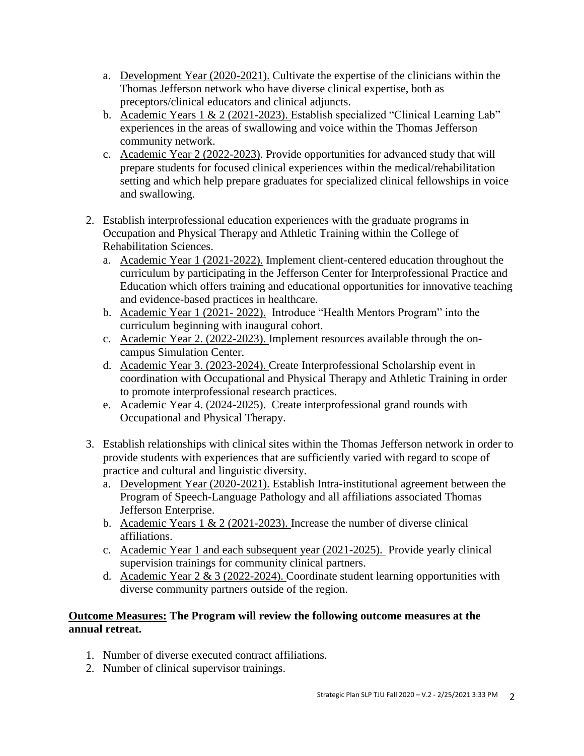- a. Development Year (2020-2021). Cultivate the expertise of the clinicians within the Thomas Jefferson network who have diverse clinical expertise, both as preceptors/clinical educators and clinical adjuncts.
- b. Academic Years 1 & 2 (2021-2023). Establish specialized "Clinical Learning Lab" experiences in the areas of swallowing and voice within the Thomas Jefferson community network.
- c. Academic Year 2 (2022-2023). Provide opportunities for advanced study that will prepare students for focused clinical experiences within the medical/rehabilitation setting and which help prepare graduates for specialized clinical fellowships in voice and swallowing.
- 2. Establish interprofessional education experiences with the graduate programs in Occupation and Physical Therapy and Athletic Training within the College of Rehabilitation Sciences.
	- a. Academic Year 1 (2021-2022). Implement client-centered education throughout the curriculum by participating in the Jefferson Center for Interprofessional Practice and Education which offers training and educational opportunities for innovative teaching and evidence-based practices in healthcare.
	- b. Academic Year 1 (2021- 2022). Introduce "Health Mentors Program" into the curriculum beginning with inaugural cohort.
	- c. Academic Year 2. (2022-2023). Implement resources available through the oncampus Simulation Center.
	- d. Academic Year 3. (2023-2024). Create Interprofessional Scholarship event in coordination with Occupational and Physical Therapy and Athletic Training in order to promote interprofessional research practices.
	- e. Academic Year 4. (2024-2025). Create interprofessional grand rounds with Occupational and Physical Therapy.
- 3. Establish relationships with clinical sites within the Thomas Jefferson network in order to provide students with experiences that are sufficiently varied with regard to scope of practice and cultural and linguistic diversity.
	- a. Development Year (2020-2021). Establish Intra-institutional agreement between the Program of Speech-Language Pathology and all affiliations associated Thomas Jefferson Enterprise.
	- b. Academic Years 1 & 2 (2021-2023). Increase the number of diverse clinical affiliations.
	- c. Academic Year 1 and each subsequent year (2021-2025). Provide yearly clinical supervision trainings for community clinical partners.
	- d. Academic Year 2 & 3 (2022-2024). Coordinate student learning opportunities with diverse community partners outside of the region.

## **Outcome Measures: The Program will review the following outcome measures at the annual retreat.**

- 1. Number of diverse executed contract affiliations.
- 2. Number of clinical supervisor trainings.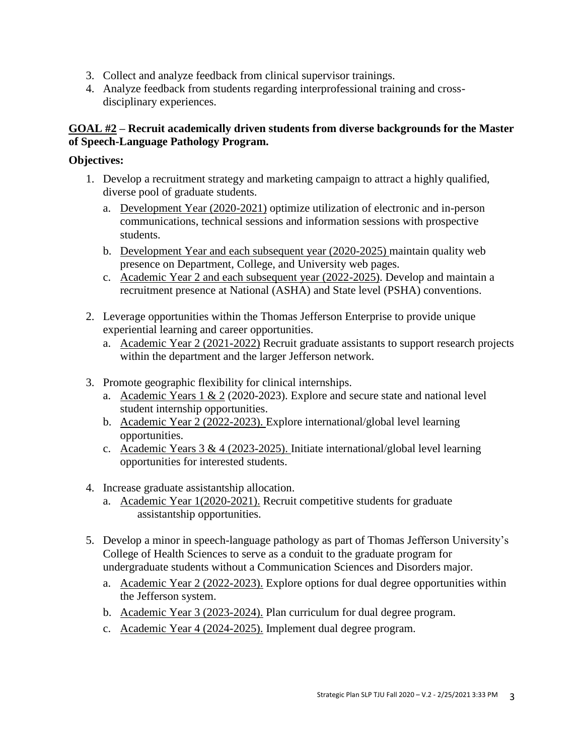- 3. Collect and analyze feedback from clinical supervisor trainings.
- 4. Analyze feedback from students regarding interprofessional training and crossdisciplinary experiences.

## **GOAL #2 – Recruit academically driven students from diverse backgrounds for the Master of Speech-Language Pathology Program.**

## **Objectives:**

- 1. Develop a recruitment strategy and marketing campaign to attract a highly qualified, diverse pool of graduate students.
	- a. Development Year (2020-2021) optimize utilization of electronic and in-person communications, technical sessions and information sessions with prospective students.
	- b. Development Year and each subsequent year (2020-2025) maintain quality web presence on Department, College, and University web pages.
	- c. Academic Year 2 and each subsequent year (2022-2025). Develop and maintain a recruitment presence at National (ASHA) and State level (PSHA) conventions.
- 2. Leverage opportunities within the Thomas Jefferson Enterprise to provide unique experiential learning and career opportunities.
	- a. Academic Year 2 (2021-2022) Recruit graduate assistants to support research projects within the department and the larger Jefferson network.
- 3. Promote geographic flexibility for clinical internships.
	- a. Academic Years 1 & 2 (2020-2023). Explore and secure state and national level student internship opportunities.
	- b. Academic Year 2 (2022-2023). Explore international/global level learning opportunities.
	- c. Academic Years 3 & 4 (2023-2025). Initiate international/global level learning opportunities for interested students.
- 4. Increase graduate assistantship allocation.
	- a. Academic Year 1(2020-2021). Recruit competitive students for graduate assistantship opportunities.
- 5. Develop a minor in speech-language pathology as part of Thomas Jefferson University's College of Health Sciences to serve as a conduit to the graduate program for undergraduate students without a Communication Sciences and Disorders major.
	- a. Academic Year 2 (2022-2023). Explore options for dual degree opportunities within the Jefferson system.
	- b. Academic Year 3 (2023-2024). Plan curriculum for dual degree program.
	- c. Academic Year 4 (2024-2025). Implement dual degree program.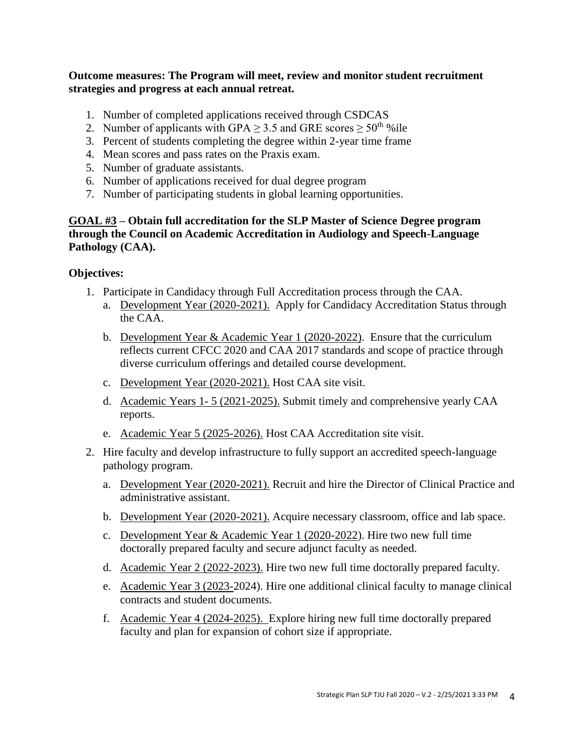#### **Outcome measures: The Program will meet, review and monitor student recruitment strategies and progress at each annual retreat.**

- 1. Number of completed applications received through CSDCAS
- 2. Number of applicants with GPA  $\geq$  3.5 and GRE scores  $\geq$  50<sup>th</sup> % ile
- 3. Percent of students completing the degree within 2-year time frame
- 4. Mean scores and pass rates on the Praxis exam.
- 5. Number of graduate assistants.
- 6. Number of applications received for dual degree program
- 7. Number of participating students in global learning opportunities.

## **GOAL #3 – Obtain full accreditation for the SLP Master of Science Degree program through the Council on Academic Accreditation in Audiology and Speech-Language Pathology (CAA).**

#### **Objectives:**

- 1. Participate in Candidacy through Full Accreditation process through the CAA.
	- a. Development Year (2020-2021). Apply for Candidacy Accreditation Status through the CAA.
	- b. Development Year & Academic Year 1 (2020-2022). Ensure that the curriculum reflects current CFCC 2020 and CAA 2017 standards and scope of practice through diverse curriculum offerings and detailed course development.
	- c. Development Year (2020-2021). Host CAA site visit.
	- d. Academic Years 1- 5 (2021-2025). Submit timely and comprehensive yearly CAA reports.
	- e. Academic Year 5 (2025-2026). Host CAA Accreditation site visit.
- 2. Hire faculty and develop infrastructure to fully support an accredited speech-language pathology program.
	- a. Development Year (2020-2021). Recruit and hire the Director of Clinical Practice and administrative assistant.
	- b. Development Year (2020-2021). Acquire necessary classroom, office and lab space.
	- c. Development Year & Academic Year 1 (2020-2022). Hire two new full time doctorally prepared faculty and secure adjunct faculty as needed.
	- d. Academic Year 2 (2022-2023). Hire two new full time doctorally prepared faculty.
	- e. Academic Year 3 (2023-2024). Hire one additional clinical faculty to manage clinical contracts and student documents.
	- f. Academic Year 4 (2024-2025). Explore hiring new full time doctorally prepared faculty and plan for expansion of cohort size if appropriate.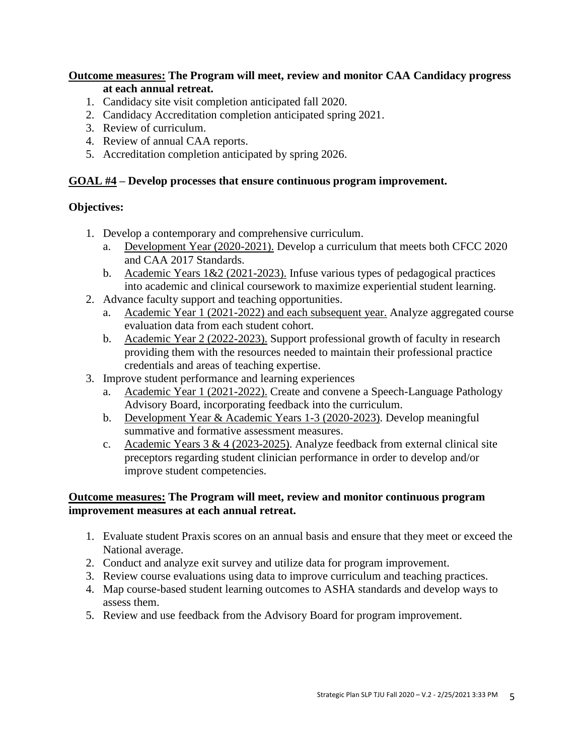#### **Outcome measures: The Program will meet, review and monitor CAA Candidacy progress at each annual retreat.**

- 1. Candidacy site visit completion anticipated fall 2020.
- 2. Candidacy Accreditation completion anticipated spring 2021.
- 3. Review of curriculum.
- 4. Review of annual CAA reports.
- 5. Accreditation completion anticipated by spring 2026.

## **GOAL #4 – Develop processes that ensure continuous program improvement.**

## **Objectives:**

- 1. Develop a contemporary and comprehensive curriculum.
	- a. Development Year (2020-2021). Develop a curriculum that meets both CFCC 2020 and CAA 2017 Standards.
	- b. Academic Years 1&2 (2021-2023). Infuse various types of pedagogical practices into academic and clinical coursework to maximize experiential student learning.
- 2. Advance faculty support and teaching opportunities.
	- a. Academic Year 1 (2021-2022) and each subsequent year. Analyze aggregated course evaluation data from each student cohort.
	- b. Academic Year 2 (2022-2023). Support professional growth of faculty in research providing them with the resources needed to maintain their professional practice credentials and areas of teaching expertise.
- 3. Improve student performance and learning experiences
	- a. Academic Year 1 (2021-2022). Create and convene a Speech-Language Pathology Advisory Board, incorporating feedback into the curriculum.
	- b. Development Year & Academic Years 1-3 (2020-2023). Develop meaningful summative and formative assessment measures.
	- c. Academic Years  $3 & 4 & (2023-2025)$ . Analyze feedback from external clinical site preceptors regarding student clinician performance in order to develop and/or improve student competencies.

#### **Outcome measures: The Program will meet, review and monitor continuous program improvement measures at each annual retreat.**

- 1. Evaluate student Praxis scores on an annual basis and ensure that they meet or exceed the National average.
- 2. Conduct and analyze exit survey and utilize data for program improvement.
- 3. Review course evaluations using data to improve curriculum and teaching practices.
- 4. Map course-based student learning outcomes to ASHA standards and develop ways to assess them.
- 5. Review and use feedback from the Advisory Board for program improvement.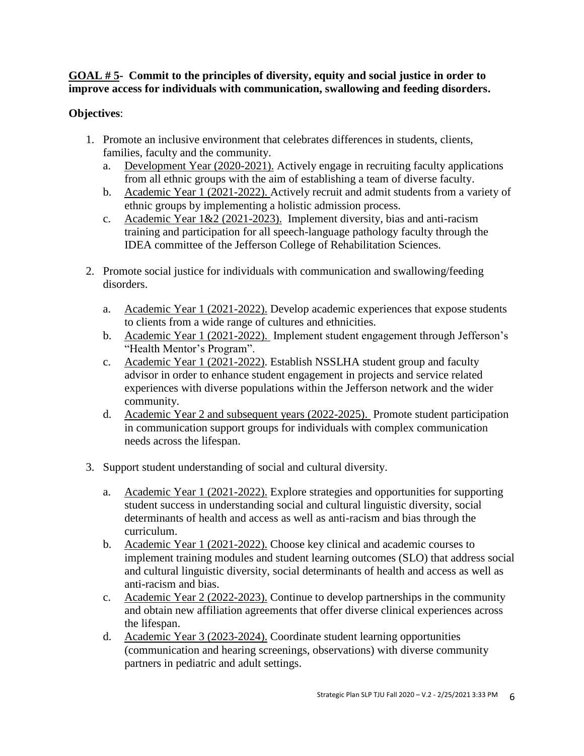## **GOAL # 5- Commit to the principles of diversity, equity and social justice in order to improve access for individuals with communication, swallowing and feeding disorders.**

# **Objectives**:

- 1. Promote an inclusive environment that celebrates differences in students, clients, families, faculty and the community.
	- a. Development Year (2020-2021). Actively engage in recruiting faculty applications from all ethnic groups with the aim of establishing a team of diverse faculty.
	- b. Academic Year 1 (2021-2022). Actively recruit and admit students from a variety of ethnic groups by implementing a holistic admission process.
	- c. Academic Year 1&2 (2021-2023). Implement diversity, bias and anti-racism training and participation for all speech-language pathology faculty through the IDEA committee of the Jefferson College of Rehabilitation Sciences.
- 2. Promote social justice for individuals with communication and swallowing/feeding disorders.
	- a. Academic Year 1 (2021-2022). Develop academic experiences that expose students to clients from a wide range of cultures and ethnicities.
	- b. Academic Year 1 (2021-2022). Implement student engagement through Jefferson's "Health Mentor's Program".
	- c. Academic Year 1 (2021-2022). Establish NSSLHA student group and faculty advisor in order to enhance student engagement in projects and service related experiences with diverse populations within the Jefferson network and the wider community.
	- d. Academic Year 2 and subsequent years (2022-2025). Promote student participation in communication support groups for individuals with complex communication needs across the lifespan.
- 3. Support student understanding of social and cultural diversity.
	- a. Academic Year 1 (2021-2022). Explore strategies and opportunities for supporting student success in understanding social and cultural linguistic diversity, social determinants of health and access as well as anti-racism and bias through the curriculum.
	- b. Academic Year 1 (2021-2022). Choose key clinical and academic courses to implement training modules and student learning outcomes (SLO) that address social and cultural linguistic diversity, social determinants of health and access as well as anti-racism and bias.
	- c. Academic Year 2 (2022-2023). Continue to develop partnerships in the community and obtain new affiliation agreements that offer diverse clinical experiences across the lifespan.
	- d. Academic Year 3 (2023-2024). Coordinate student learning opportunities (communication and hearing screenings, observations) with diverse community partners in pediatric and adult settings.